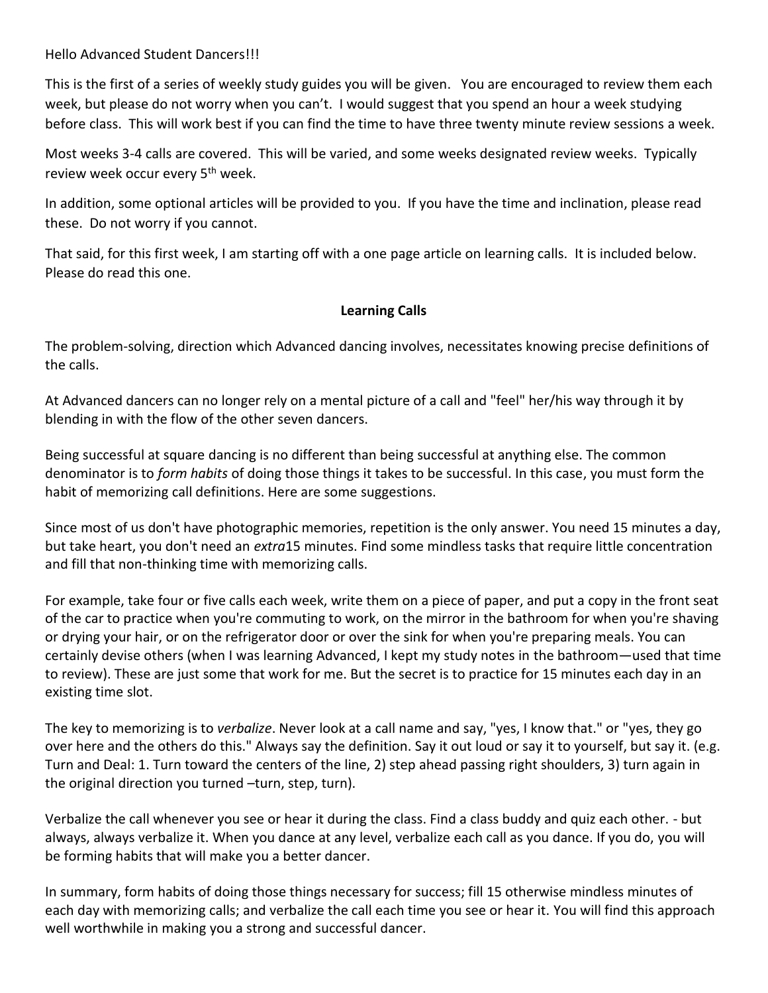Hello Advanced Student Dancers!!!

This is the first of a series of weekly study guides you will be given. You are encouraged to review them each week, but please do not worry when you can't. I would suggest that you spend an hour a week studying before class. This will work best if you can find the time to have three twenty minute review sessions a week.

Most weeks 3-4 calls are covered. This will be varied, and some weeks designated review weeks. Typically review week occur every 5th week.

In addition, some optional articles will be provided to you. If you have the time and inclination, please read these. Do not worry if you cannot.

That said, for this first week, I am starting off with a one page article on learning calls. It is included below. Please do read this one.

## **Learning Calls**

The problem-solving, direction which Advanced dancing involves, necessitates knowing precise definitions of the calls.

At Advanced dancers can no longer rely on a mental picture of a call and "feel" her/his way through it by blending in with the flow of the other seven dancers.

Being successful at square dancing is no different than being successful at anything else. The common denominator is to *form habits* of doing those things it takes to be successful. In this case, you must form the habit of memorizing call definitions. Here are some suggestions.

Since most of us don't have photographic memories, repetition is the only answer. You need 15 minutes a day, but take heart, you don't need an *extra*15 minutes. Find some mindless tasks that require little concentration and fill that non-thinking time with memorizing calls.

For example, take four or five calls each week, write them on a piece of paper, and put a copy in the front seat of the car to practice when you're commuting to work, on the mirror in the bathroom for when you're shaving or drying your hair, or on the refrigerator door or over the sink for when you're preparing meals. You can certainly devise others (when I was learning Advanced, I kept my study notes in the bathroom—used that time to review). These are just some that work for me. But the secret is to practice for 15 minutes each day in an existing time slot.

The key to memorizing is to *verbalize*. Never look at a call name and say, "yes, I know that." or "yes, they go over here and the others do this." Always say the definition. Say it out loud or say it to yourself, but say it. (e.g. Turn and Deal: 1. Turn toward the centers of the line, 2) step ahead passing right shoulders, 3) turn again in the original direction you turned –turn, step, turn).

Verbalize the call whenever you see or hear it during the class. Find a class buddy and quiz each other. - but always, always verbalize it. When you dance at any level, verbalize each call as you dance. If you do, you will be forming habits that will make you a better dancer.

In summary, form habits of doing those things necessary for success; fill 15 otherwise mindless minutes of each day with memorizing calls; and verbalize the call each time you see or hear it. You will find this approach well worthwhile in making you a strong and successful dancer.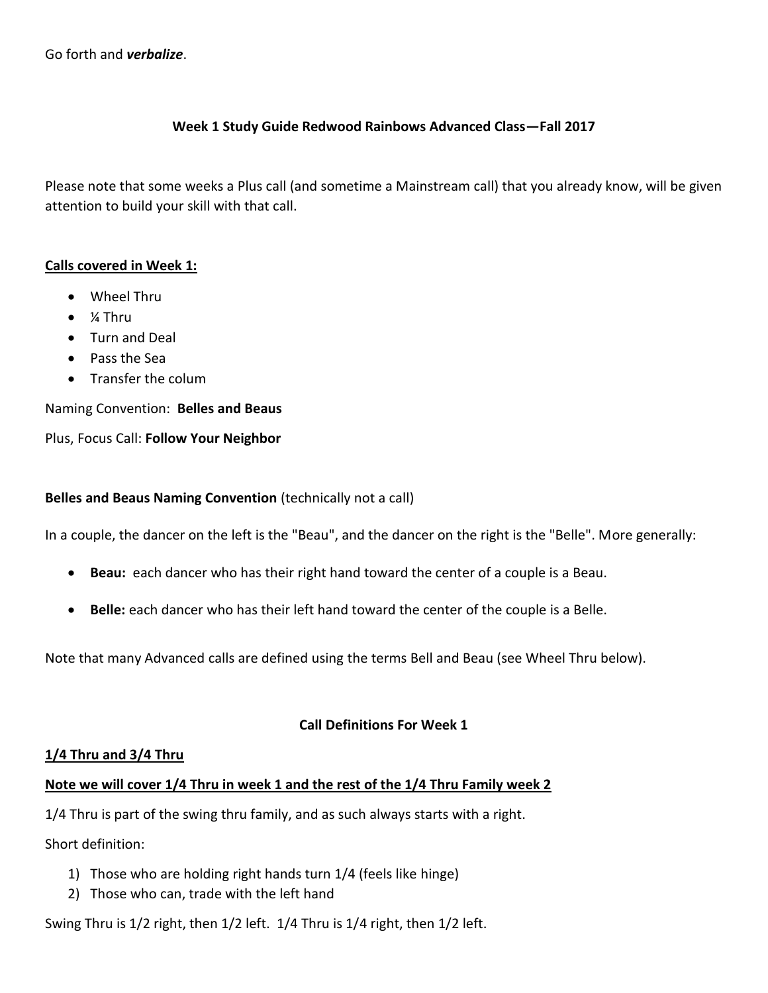Go forth and *verbalize*.

#### **Week 1 Study Guide Redwood Rainbows Advanced Class—Fall 2017**

Please note that some weeks a Plus call (and sometime a Mainstream call) that you already know, will be given attention to build your skill with that call.

#### **Calls covered in Week 1:**

- Wheel Thru
- ¼ Thru
- Turn and Deal
- Pass the Sea
- Transfer the colum

Naming Convention: **Belles and Beaus**

Plus, Focus Call: **Follow Your Neighbor**

#### **Belles and Beaus Naming Convention** (technically not a call)

In a couple, the dancer on the left is the "Beau", and the dancer on the right is the "Belle". More generally:

- **Beau:** each dancer who has their right hand toward the center of a couple is a Beau.
- **Belle:** each dancer who has their left hand toward the center of the couple is a Belle.

Note that many Advanced calls are defined using the terms Bell and Beau (see Wheel Thru below).

## **Call Definitions For Week 1**

## **1/4 Thru and 3/4 Thru**

## **Note we will cover 1/4 Thru in week 1 and the rest of the 1/4 Thru Family week 2**

1/4 Thru is part of the swing thru family, and as such always starts with a right.

Short definition:

- 1) Those who are holding right hands turn 1/4 (feels like hinge)
- 2) Those who can, trade with the left hand

Swing Thru is 1/2 right, then 1/2 left. 1/4 Thru is 1/4 right, then 1/2 left.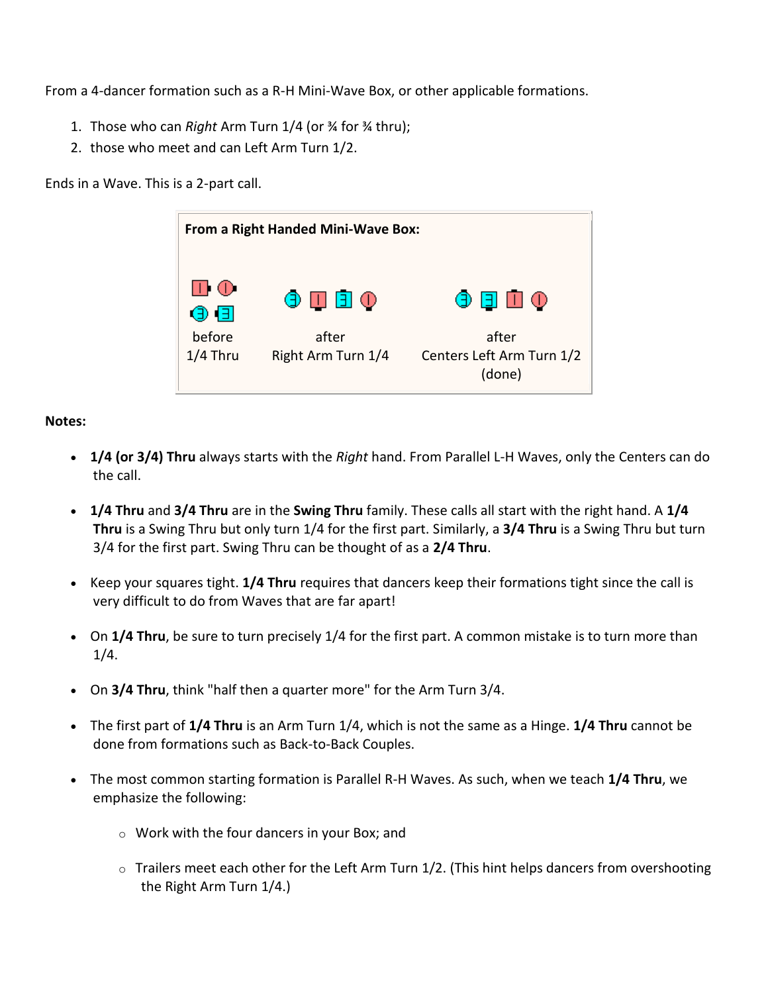From a 4-dancer formation such as a R-H Mini-Wave Box, or other applicable formations.

- 1. Those who can *Right* Arm Turn 1/4 (or ¾ for ¾ thru);
- 2. those who meet and can Left Arm Turn 1/2.

Ends in a Wave. This is a 2-part call.

| From a Right Handed Mini-Wave Box: |                             |                                              |  |  |
|------------------------------------|-----------------------------|----------------------------------------------|--|--|
| $\square$ $\oplus$<br>⊕ (⊟)        | 0 1 1 0                     | <b>⊙ ⊟ ⊡</b> ⊙                               |  |  |
| before<br>$1/4$ Thru               | after<br>Right Arm Turn 1/4 | after<br>Centers Left Arm Turn 1/2<br>(done) |  |  |

**Notes:**

- **1/4 (or 3/4) Thru** always starts with the *Right* hand. From Parallel L-H Waves, only the Centers can do the call.
- **1/4 Thru** and **3/4 Thru** are in the **Swing Thru** family. These calls all start with the right hand. A **1/4 Thru** is a Swing Thru but only turn 1/4 for the first part. Similarly, a **3/4 Thru** is a Swing Thru but turn 3/4 for the first part. Swing Thru can be thought of as a **2/4 Thru**.
- Keep your squares tight. **1/4 Thru** requires that dancers keep their formations tight since the call is very difficult to do from Waves that are far apart!
- On **1/4 Thru**, be sure to turn precisely 1/4 for the first part. A common mistake is to turn more than 1/4.
- On **3/4 Thru**, think "half then a quarter more" for the Arm Turn 3/4.
- The first part of **1/4 Thru** is an Arm Turn 1/4, which is not the same as a Hinge. **1/4 Thru** cannot be done from formations such as Back-to-Back Couples.
- The most common starting formation is Parallel R-H Waves. As such, when we teach **1/4 Thru**, we emphasize the following:
	- o Work with the four dancers in your Box; and
	- $\circ$  Trailers meet each other for the Left Arm Turn 1/2. (This hint helps dancers from overshooting the Right Arm Turn 1/4.)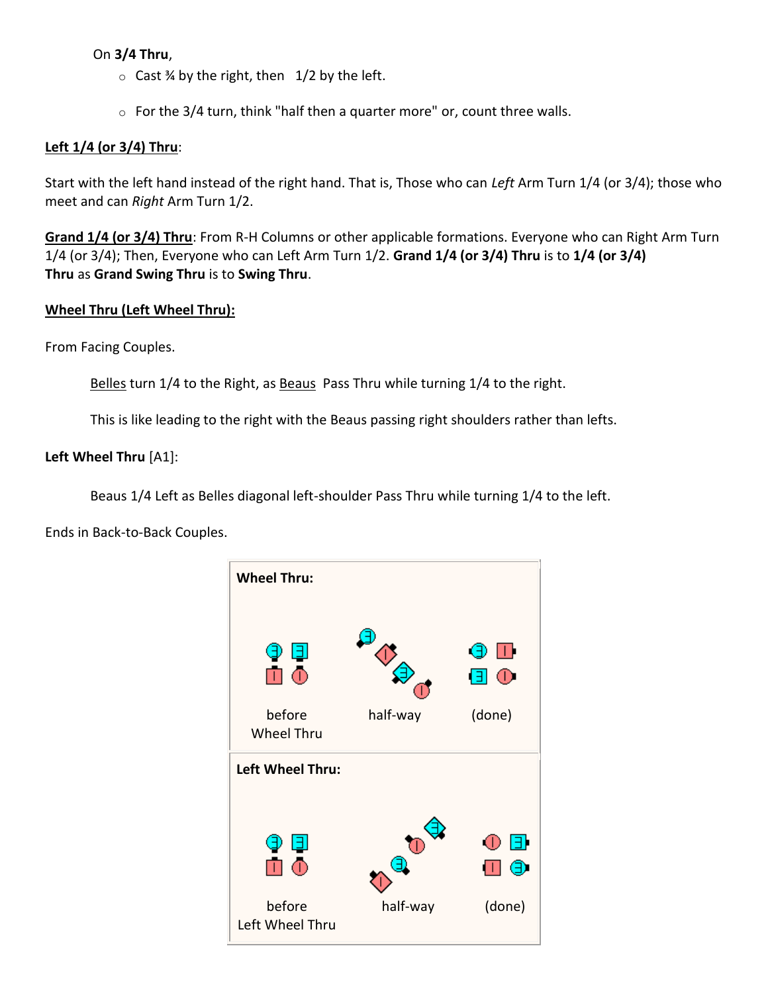## On **3/4 Thru**,

- $\circ$  Cast % by the right, then 1/2 by the left.
- $\circ$  For the 3/4 turn, think "half then a quarter more" or, count three walls.

#### **Left 1/4 (or 3/4) Thru**:

Start with the left hand instead of the right hand. That is, Those who can *Left* Arm Turn 1/4 (or 3/4); those who meet and can *Right* Arm Turn 1/2.

**[Grand 1/4 \(or 3/4\) Thru](https://www.ceder.net/def/grand14thru.php?language=usa)**: From R-H Columns or other applicable formations. Everyone who can Right Arm Turn 1/4 (or 3/4); Then, Everyone who can Left Arm Turn 1/2. **Grand 1/4 (or 3/4) Thru** is to **1/4 (or 3/4) Thru** as **Grand Swing Thru** is to **Swing Thru**.

#### **Wheel Thru (Left Wheel Thru):**

From Facing Couples.

[Belles](https://www.ceder.net/def/beaubelle.php?language=usa) turn 1/4 to the Right, as [Beaus](https://www.ceder.net/def/beaubelle.php?language=usa) Pass Thru while turning 1/4 to the right.

This is like leading to the right with the Beaus passing right shoulders rather than lefts.

#### **Left Wheel Thru** [A1]:

Beaus 1/4 Left as Belles diagonal left-shoulder Pass Thru while turning 1/4 to the left.

Ends in Back-to-Back Couples.

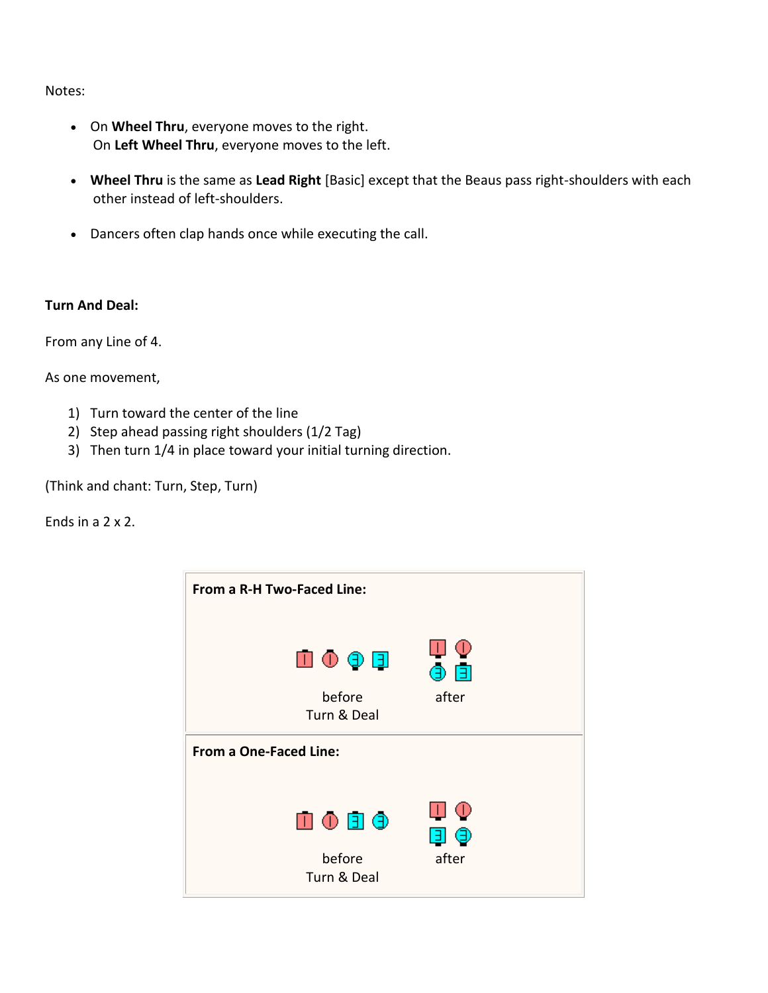- On **Wheel Thru**, everyone moves to the right. On **Left Wheel Thru**, everyone moves to the left.
- **Wheel Thru** is the same as **Lead Right** [Basic] except that the Beaus pass right-shoulders with each other instead of left-shoulders.
- Dancers often clap hands once while executing the call.

#### **Turn And Deal:**

From any Line of 4.

As one movement,

- 1) Turn toward the center of the line
- 2) Step ahead passing right shoulders (1/2 Tag)
- 3) Then turn 1/4 in place toward your initial turning direction.

(Think and chant: Turn, Step, Turn)

Ends in a 2 x 2.

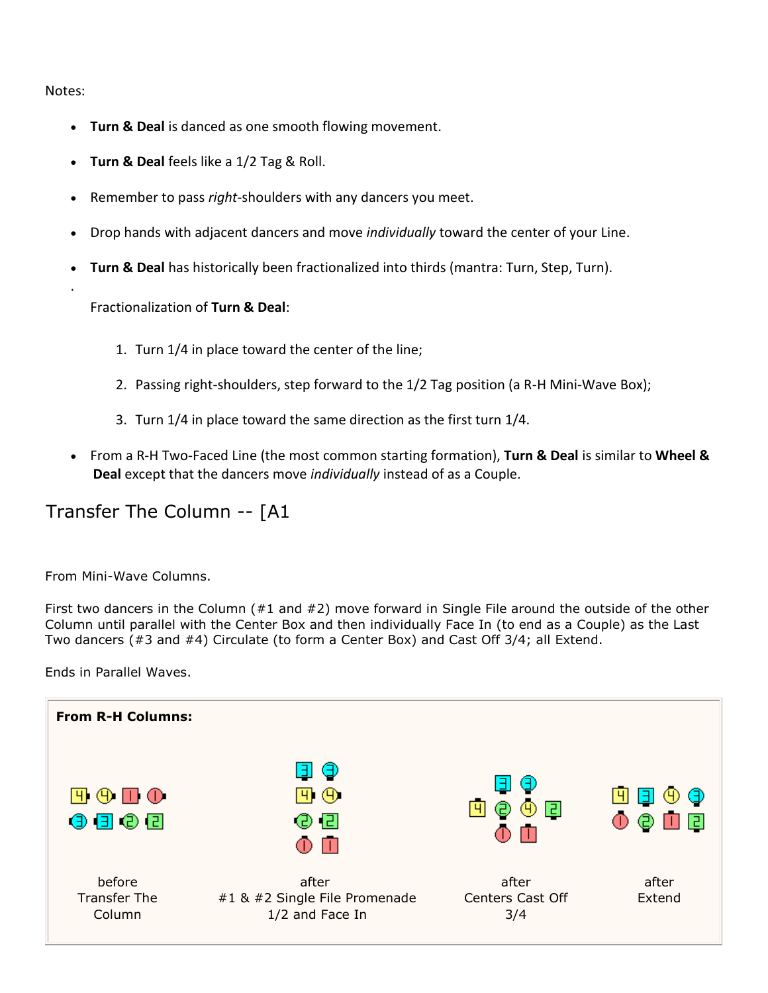.

- **Turn & Deal** is danced as one smooth flowing movement.
- **Turn & Deal** feels like a 1/2 Tag & Roll.
- Remember to pass *right*-shoulders with any dancers you meet.
- Drop hands with adjacent dancers and move *individually* toward the center of your Line.
- **Turn & Deal** has historically been fractionalized into thirds (mantra: Turn, Step, Turn).

Fractionalization of **Turn & Deal**:

- 1. Turn 1/4 in place toward the center of the line;
- 2. Passing right-shoulders, step forward to the 1/2 Tag position (a R-H Mini-Wave Box);
- 3. Turn 1/4 in place toward the same direction as the first turn 1/4.
- From a R-H Two-Faced Line (the most common starting formation), **Turn & Deal** is similar to **Wheel & Deal** except that the dancers move *individually* instead of as a Couple.

# Transfer The Column -- [A1

From Mini-Wave Columns.

First two dancers in the Column (#1 and #2) move forward in Single File around the outside of the other Column until parallel with the Center Box and then individually Face In (to end as a Couple) as the Last Two dancers (#3 and #4) Circulate (to form a Center Box) and Cast Off 3/4; all Extend.

Ends in Parallel Waves.

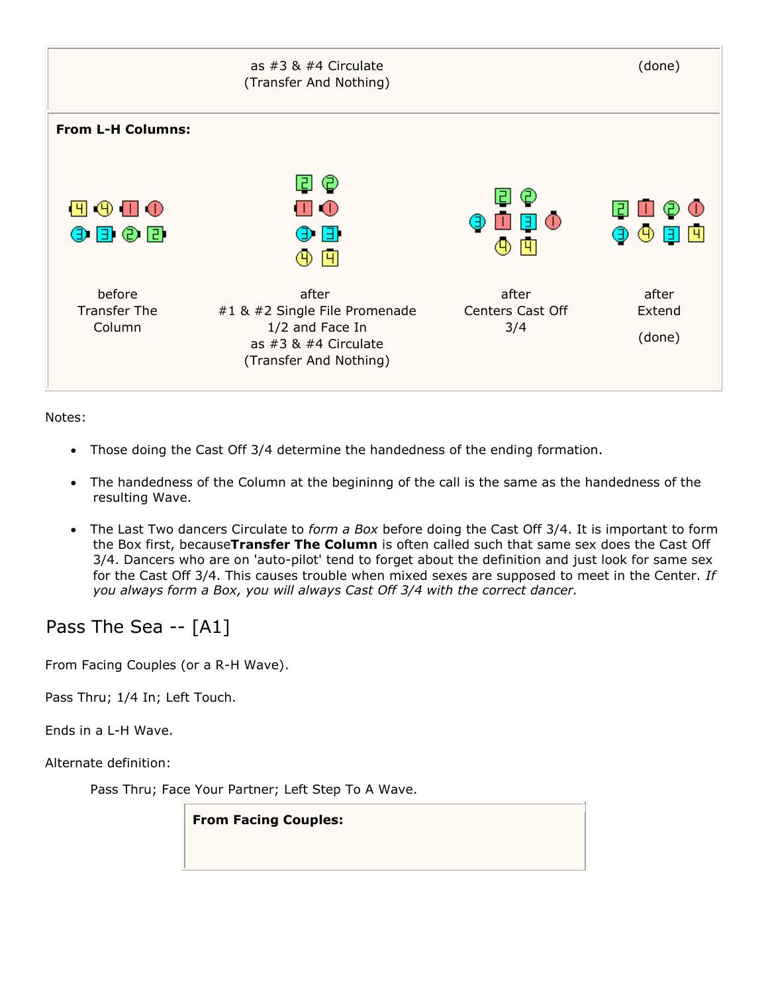

- Those doing the Cast Off 3/4 determine the handedness of the ending formation.
- The handedness of the Column at the begininng of the call is the same as the handedness of the resulting Wave.
- The Last Two dancers Circulate to *form a Box* before doing the Cast Off 3/4. It is important to form the Box first, because**Transfer The Column** is often called such that same sex does the Cast Off 3/4. Dancers who are on 'auto-pilot' tend to forget about the definition and just look for same sex for the Cast Off 3/4. This causes trouble when mixed sexes are supposed to meet in the Center. *If you always form a Box, you will always Cast Off 3/4 with the correct dancer.*

# Pass The Sea -- [A1]

From Facing Couples (or a R-H Wave).

Pass Thru; 1/4 In; Left Touch.

Ends in a L-H Wave.

Alternate definition:

Pass Thru; Face Your Partner; Left Step To A Wave.

**From Facing Couples:**